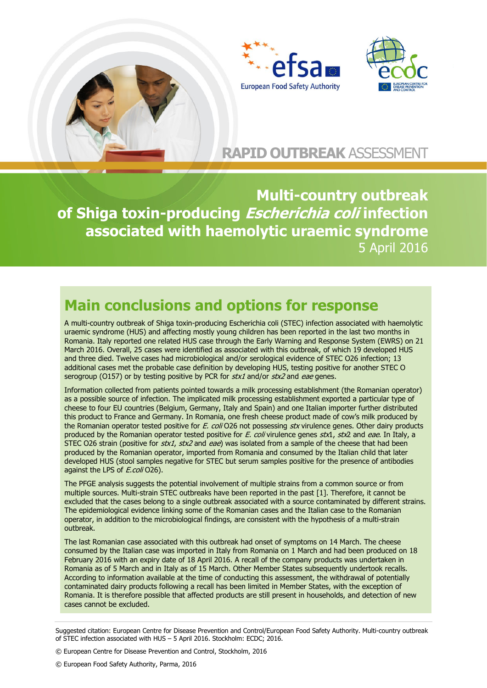



# **RAPID OUTBREAK** ASSESSMENT

**Multi-country outbreak of Shiga toxin-producing Escherichia coli infection associated with haemolytic uraemic syndrome**  5 April 2016

# **Main conclusions and options for response**

A multi-country outbreak of Shiga toxin-producing Escherichia coli (STEC) infection associated with haemolytic uraemic syndrome (HUS) and affecting mostly young children has been reported in the last two months in Romania. Italy reported one related HUS case through the Early Warning and Response System (EWRS) on 21 March 2016. Overall, 25 cases were identified as associated with this outbreak, of which 19 developed HUS and three died. Twelve cases had microbiological and/or serological evidence of STEC O26 infection; 13 additional cases met the probable case definition by developing HUS, testing positive for another STEC O serogroup (O157) or by testing positive by PCR for stx1 and/or stx2 and eae genes.

Information collected from patients pointed towards a milk processing establishment (the Romanian operator) as a possible source of infection. The implicated milk processing establishment exported a particular type of cheese to four EU countries (Belgium, Germany, Italy and Spain) and one Italian importer further distributed this product to France and Germany. In Romania, one fresh cheese product made of cow's milk produced by the Romanian operator tested positive for E. coli O26 not possessing stx virulence genes. Other dairy products produced by the Romanian operator tested positive for E. coli virulence genes stx1, stx2 and eae. In Italy, a STEC O26 strain (positive for  $stx1$ ,  $stx2$  and eae) was isolated from a sample of the cheese that had been produced by the Romanian operator, imported from Romania and consumed by the Italian child that later developed HUS (stool samples negative for STEC but serum samples positive for the presence of antibodies against the LPS of *E.coli* O26).

The PFGE analysis suggests the potential involvement of multiple strains from a common source or from multiple sources. Multi-strain STEC outbreaks have been reported in the past [1]. Therefore, it cannot be excluded that the cases belong to a single outbreak associated with a source contaminated by different strains. The epidemiological evidence linking some of the Romanian cases and the Italian case to the Romanian operator, in addition to the microbiological findings, are consistent with the hypothesis of a multi-strain outbreak.

The last Romanian case associated with this outbreak had onset of symptoms on 14 March. The cheese consumed by the Italian case was imported in Italy from Romania on 1 March and had been produced on 18 February 2016 with an expiry date of 18 April 2016. A recall of the company products was undertaken in Romania as of 5 March and in Italy as of 15 March. Other Member States subsequently undertook recalls. According to information available at the time of conducting this assessment, the withdrawal of potentially contaminated dairy products following a recall has been limited in Member States, with the exception of Romania. It is therefore possible that affected products are still present in households, and detection of new cases cannot be excluded.

Suggested citation: European Centre for Disease Prevention and Control/European Food Safety Authority. Multi-country outbreak of STEC infection associated with HUS – 5 April 2016. Stockholm: ECDC; 2016.

© European Centre for Disease Prevention and Control, Stockholm, 2016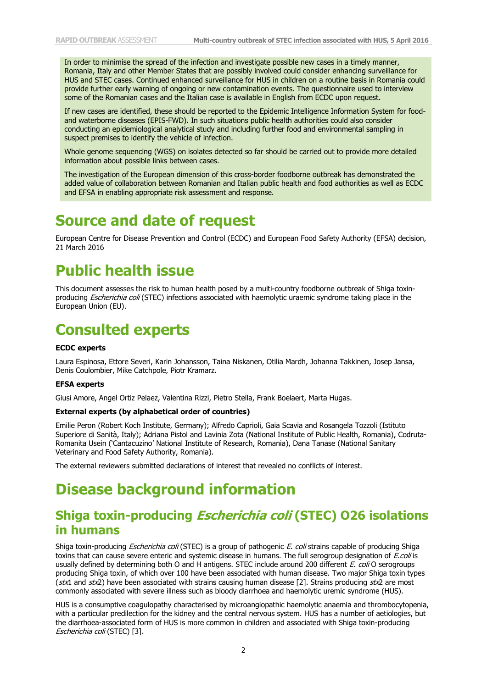In order to minimise the spread of the infection and investigate possible new cases in a timely manner, Romania, Italy and other Member States that are possibly involved could consider enhancing surveillance for HUS and STEC cases. Continued enhanced surveillance for HUS in children on a routine basis in Romania could provide further early warning of ongoing or new contamination events. The questionnaire used to interview some of the Romanian cases and the Italian case is available in English from ECDC upon request.

If new cases are identified, these should be reported to the Epidemic Intelligence Information System for foodand waterborne diseases (EPIS-FWD). In such situations public health authorities could also consider conducting an epidemiological analytical study and including further food and environmental sampling in suspect premises to identify the vehicle of infection.

Whole genome sequencing (WGS) on isolates detected so far should be carried out to provide more detailed information about possible links between cases.

The investigation of the European dimension of this cross-border foodborne outbreak has demonstrated the added value of collaboration between Romanian and Italian public health and food authorities as well as ECDC and EFSA in enabling appropriate risk assessment and response.

## **Source and date of request**

European Centre for Disease Prevention and Control (ECDC) and European Food Safety Authority (EFSA) decision, 21 March 2016

# **Public health issue**

This document assesses the risk to human health posed by a multi-country foodborne outbreak of Shiga toxinproducing Escherichia coli (STEC) infections associated with haemolytic uraemic syndrome taking place in the European Union (EU).

# **Consulted experts**

### **ECDC experts**

Laura Espinosa, Ettore Severi, Karin Johansson, Taina Niskanen, Otilia Mardh, Johanna Takkinen, Josep Jansa, Denis Coulombier, Mike Catchpole, Piotr Kramarz.

#### **EFSA experts**

Giusi Amore, Angel Ortiz Pelaez, Valentina Rizzi, Pietro Stella, Frank Boelaert, Marta Hugas.

#### **External experts (by alphabetical order of countries)**

Emilie Peron (Robert Koch Institute, Germany); Alfredo Caprioli, Gaia Scavia and Rosangela Tozzoli (Istituto Superiore di Sanità, Italy); Adriana Pistol and Lavinia Zota (National Institute of Public Health, Romania), Codruta-Romanita Usein ('Cantacuzino' National Institute of Research, Romania), Dana Tanase (National Sanitary Veterinary and Food Safety Authority, Romania).

The external reviewers submitted declarations of interest that revealed no conflicts of interest.

# **Disease background information**

## **Shiga toxin-producing Escherichia coli (STEC) O26 isolations in humans**

Shiga toxin-producing *Escherichia coli* (STEC) is a group of pathogenic E. coli strains capable of producing Shiga toxins that can cause severe enteric and systemic disease in humans. The full serogroup designation of *E.coli* is usually defined by determining both O and H antigens. STEC include around 200 different E. coli O serogroups producing Shiga toxin, of which over 100 have been associated with human disease. Two major Shiga toxin types (stx1 and stx2) have been associated with strains causing human disease [2]. Strains producing stx2 are most commonly associated with severe illness such as bloody diarrhoea and haemolytic uremic syndrome (HUS).

HUS is a consumptive coagulopathy characterised by microangiopathic haemolytic anaemia and thrombocytopenia, with a particular predilection for the kidney and the central nervous system. HUS has a number of aetiologies, but the diarrhoea-associated form of HUS is more common in children and associated with Shiga toxin-producing Escherichia coli (STEC) [3].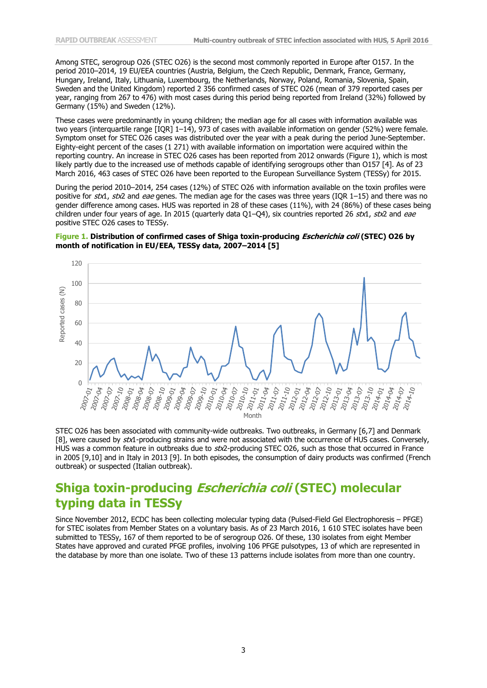Among STEC, serogroup O26 (STEC O26) is the second most commonly reported in Europe after O157. In the period 2010–2014, 19 EU/EEA countries (Austria, Belgium, the Czech Republic, Denmark, France, Germany, Hungary, Ireland, Italy, Lithuania, Luxembourg, the Netherlands, Norway, Poland, Romania, Slovenia, Spain, Sweden and the United Kingdom) reported 2 356 confirmed cases of STEC O26 (mean of 379 reported cases per year, ranging from 267 to 476) with most cases during this period being reported from Ireland (32%) followed by Germany (15%) and Sweden (12%).

These cases were predominantly in young children; the median age for all cases with information available was two years (interquartile range [IQR] 1–14), 973 of cases with available information on gender (52%) were female. Symptom onset for STEC O26 cases was distributed over the year with a peak during the period June-September. Eighty-eight percent of the cases (1 271) with available information on importation were acquired within the reporting country. An increase in STEC O26 cases has been reported from 2012 onwards (Figure 1), which is most likely partly due to the increased use of methods capable of identifying serogroups other than O157 [4]. As of 23 March 2016, 463 cases of STEC O26 have been reported to the European Surveillance System (TESSy) for 2015.

During the period 2010–2014, 254 cases (12%) of STEC O26 with information available on the toxin profiles were positive for  $stx1$ ,  $stx2$  and eae genes. The median age for the cases was three years (IQR 1–15) and there was no gender difference among cases. HUS was reported in 28 of these cases (11%), with 24 (86%) of these cases being children under four years of age. In 2015 (quarterly data Q1-Q4), six countries reported 26 stx1, stx2 and eae positive STEC O26 cases to TESSy.

### **Figure 1. Distribution of confirmed cases of Shiga toxin-producing Escherichia coli (STEC) O26 by month of notification in EU/EEA, TESSy data, 2007–2014 [5]**



STEC O26 has been associated with community-wide outbreaks. Two outbreaks, in Germany [6,7] and Denmark [8], were caused by stx1-producing strains and were not associated with the occurrence of HUS cases. Conversely, HUS was a common feature in outbreaks due to stx2-producing STEC O26, such as those that occurred in France in 2005 [9,10] and in Italy in 2013 [9]. In both episodes, the consumption of dairy products was confirmed (French outbreak) or suspected (Italian outbreak).

## **Shiga toxin-producing Escherichia coli (STEC) molecular typing data in TESSy**

Since November 2012, ECDC has been collecting molecular typing data (Pulsed-Field Gel Electrophoresis – PFGE) for STEC isolates from Member States on a voluntary basis. As of 23 March 2016, 1 610 STEC isolates have been submitted to TESSy, 167 of them reported to be of serogroup O26. Of these, 130 isolates from eight Member States have approved and curated PFGE profiles, involving 106 PFGE pulsotypes, 13 of which are represented in the database by more than one isolate. Two of these 13 patterns include isolates from more than one country.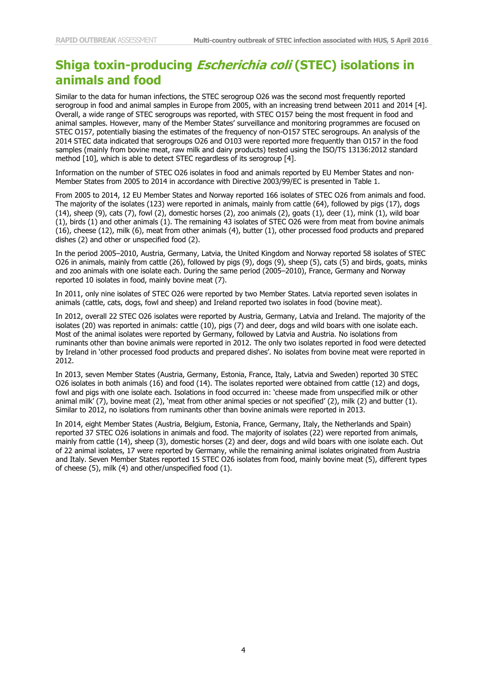## **Shiga toxin-producing Escherichia coli (STEC) isolations in animals and food**

Similar to the data for human infections, the STEC serogroup O26 was the second most frequently reported serogroup in food and animal samples in Europe from 2005, with an increasing trend between 2011 and 2014 [4]. Overall, a wide range of STEC serogroups was reported, with STEC O157 being the most frequent in food and animal samples. However, many of the Member States' surveillance and monitoring programmes are focused on STEC O157, potentially biasing the estimates of the frequency of non-O157 STEC serogroups. An analysis of the 2014 STEC data indicated that serogroups O26 and O103 were reported more frequently than O157 in the food samples (mainly from bovine meat, raw milk and dairy products) tested using the ISO/TS 13136:2012 standard method [10], which is able to detect STEC regardless of its serogroup [4].

Information on the number of STEC O26 isolates in food and animals reported by EU Member States and non-Member States from 2005 to 2014 in accordance with Directive 2003/99/EC is presented in Table 1.

From 2005 to 2014, 12 EU Member States and Norway reported 166 isolates of STEC O26 from animals and food. The majority of the isolates (123) were reported in animals, mainly from cattle (64), followed by pigs (17), dogs  $(14)$ , sheep  $(9)$ , cats  $(7)$ , fowl  $(2)$ , domestic horses  $(2)$ , zoo animals  $(2)$ , goats  $(1)$ , deer  $(1)$ , mink  $(1)$ , wild boar (1), birds (1) and other animals (1). The remaining 43 isolates of STEC O26 were from meat from bovine animals (16), cheese (12), milk (6), meat from other animals (4), butter (1), other processed food products and prepared dishes (2) and other or unspecified food (2).

In the period 2005–2010, Austria, Germany, Latvia, the United Kingdom and Norway reported 58 isolates of STEC O26 in animals, mainly from cattle (26), followed by pigs (9), dogs (9), sheep (5), cats (5) and birds, goats, minks and zoo animals with one isolate each. During the same period (2005–2010), France, Germany and Norway reported 10 isolates in food, mainly bovine meat (7).

In 2011, only nine isolates of STEC O26 were reported by two Member States. Latvia reported seven isolates in animals (cattle, cats, dogs, fowl and sheep) and Ireland reported two isolates in food (bovine meat).

In 2012, overall 22 STEC O26 isolates were reported by Austria, Germany, Latvia and Ireland. The majority of the isolates (20) was reported in animals: cattle (10), pigs (7) and deer, dogs and wild boars with one isolate each. Most of the animal isolates were reported by Germany, followed by Latvia and Austria. No isolations from ruminants other than bovine animals were reported in 2012. The only two isolates reported in food were detected by Ireland in 'other processed food products and prepared dishes'. No isolates from bovine meat were reported in 2012.

In 2013, seven Member States (Austria, Germany, Estonia, France, Italy, Latvia and Sweden) reported 30 STEC O26 isolates in both animals (16) and food (14). The isolates reported were obtained from cattle (12) and dogs, fowl and pigs with one isolate each. Isolations in food occurred in: 'cheese made from unspecified milk or other animal milk' (7), bovine meat (2), 'meat from other animal species or not specified' (2), milk (2) and butter (1). Similar to 2012, no isolations from ruminants other than bovine animals were reported in 2013.

In 2014, eight Member States (Austria, Belgium, Estonia, France, Germany, Italy, the Netherlands and Spain) reported 37 STEC O26 isolations in animals and food. The majority of isolates (22) were reported from animals, mainly from cattle (14), sheep (3), domestic horses (2) and deer, dogs and wild boars with one isolate each. Out of 22 animal isolates, 17 were reported by Germany, while the remaining animal isolates originated from Austria and Italy. Seven Member States reported 15 STEC O26 isolates from food, mainly bovine meat (5), different types of cheese (5), milk (4) and other/unspecified food (1).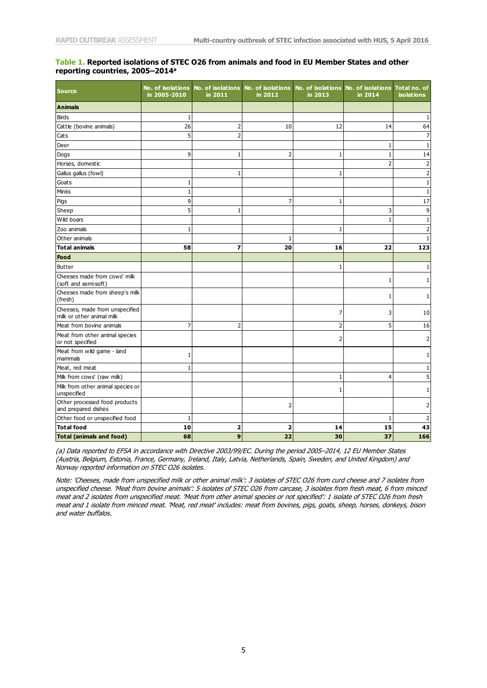### **Table 1. Reported isolations of STEC O26 from animals and food in EU Member States and other reporting countries, 2005–2014<sup>a</sup>**

| <b>Source</b>                                               | in 2005-2010 | No. of isolations No. of isolations<br>in 2011 | No. of isolations<br>in 2012 | No. of isolations<br>in 2013 | No. of isolations<br>in 2014 | Total no. of<br><b>isolations</b> |
|-------------------------------------------------------------|--------------|------------------------------------------------|------------------------------|------------------------------|------------------------------|-----------------------------------|
| <b>Animals</b>                                              |              |                                                |                              |                              |                              |                                   |
| <b>Birds</b>                                                | 1            |                                                |                              |                              |                              | 1                                 |
| Cattle (bovine animals)                                     | 26           | 2                                              | 10                           | 12                           | 14                           | 64                                |
| Cats                                                        | 5            | $\overline{2}$                                 |                              |                              |                              | 7                                 |
| Deer                                                        |              |                                                |                              |                              | 1                            | 1                                 |
| Dogs                                                        | 9            | 1                                              | $\overline{\mathbf{c}}$      | 1                            | 1                            | 14                                |
| Horses, domestic                                            |              |                                                |                              |                              | $\overline{2}$               | $\overline{2}$                    |
| Gallus gallus (fowl)                                        |              | 1                                              |                              | 1                            |                              | $\overline{c}$                    |
| Goats                                                       | 1            |                                                |                              |                              |                              | 1                                 |
| Minks                                                       | $\mathbf{1}$ |                                                |                              |                              |                              | $\,1$                             |
| Pigs                                                        | 9            |                                                | 7                            | 1                            |                              | 17                                |
| Sheep                                                       | 5            | 1                                              |                              |                              | 3                            | 9                                 |
| Wild boars                                                  |              |                                                |                              |                              | 1                            | 1                                 |
| Zoo animals                                                 | 1            |                                                |                              | 1                            |                              | $\overline{2}$                    |
| Other animals                                               |              |                                                | 1                            |                              |                              | $\mathbf 1$                       |
| <b>Total animals</b>                                        | 58           | 7                                              | 20                           | 16                           | 22                           | 123                               |
| Food                                                        |              |                                                |                              |                              |                              |                                   |
| <b>Butter</b>                                               |              |                                                |                              | 1                            |                              | 1                                 |
| Cheeses made from cows' milk<br>(soft and semi-soft)        |              |                                                |                              |                              | 1                            | 1                                 |
| Cheeses made from sheep's milk<br>(fresh)                   |              |                                                |                              |                              | 1                            | 1                                 |
| Cheeses, made from unspecified<br>milk or other animal milk |              |                                                |                              | 7                            | 3                            | 10                                |
| Meat from bovine animals                                    | 7            | 2                                              |                              | 2                            | 5                            | 16                                |
| Meat from other animal species<br>or not specified          |              |                                                |                              | 2                            |                              | 2                                 |
| Meat from wild game - land<br>mammals                       | 1            |                                                |                              |                              |                              | 1                                 |
| Meat, red meat                                              | 1            |                                                |                              |                              |                              | 1                                 |
| Milk from cows' (raw milk)                                  |              |                                                |                              | 1                            | 4                            | 5                                 |
| Milk from other animal species or<br>unspecified            |              |                                                |                              | 1                            |                              | 1                                 |
| Other processed food products<br>and prepared dishes        |              |                                                | $\overline{c}$               |                              |                              | 2                                 |
| Other food or unspecified food                              | 1            |                                                |                              |                              | 1                            | 2                                 |
| <b>Total food</b>                                           | 10           | $\overline{\mathbf{2}}$                        | 2                            | 14                           | 15                           | 43                                |
| <b>Total (animals and food)</b>                             | 68           | 9                                              | 22                           | 30                           | 37                           | 166                               |

(a) Data reported to EFSA in accordance with Directive 2003/99/EC. During the period 2005–2014, 12 EU Member States (Austria, Belgium, Estonia, France, Germany, Ireland, Italy, Latvia, Netherlands, Spain, Sweden, and United Kingdom) and Norway reported information on STEC O26 isolates.

Note: 'Cheeses, made from unspecified milk or other animal milk': 3 isolates of STEC O26 from curd cheese and 7 isolates from unspecified cheese. 'Meat from bovine animals': 5 isolates of STEC O26 from carcase, 3 isolates from fresh meat, 6 from minced meat and 2 isolates from unspecified meat. 'Meat from other animal species or not specified': 1 isolate of STEC 026 from fresh meat and 1 isolate from minced meat. 'Meat, red meat' includes: meat from bovines, pigs, goats, sheep, horses, donkeys, bison and water buffalos.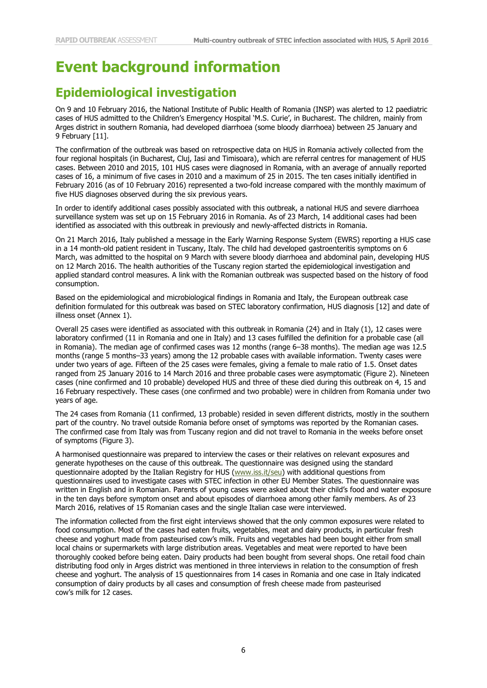# **Event background information**

# **Epidemiological investigation**

On 9 and 10 February 2016, the National Institute of Public Health of Romania (INSP) was alerted to 12 paediatric cases of HUS admitted to the Children's Emergency Hospital 'M.S. Curie', in Bucharest. The children, mainly from Arges district in southern Romania, had developed diarrhoea (some bloody diarrhoea) between 25 January and 9 February [11].

The confirmation of the outbreak was based on retrospective data on HUS in Romania actively collected from the four regional hospitals (in Bucharest, Cluj, Iasi and Timisoara), which are referral centres for management of HUS cases. Between 2010 and 2015, 101 HUS cases were diagnosed in Romania, with an average of annually reported cases of 16, a minimum of five cases in 2010 and a maximum of 25 in 2015. The ten cases initially identified in February 2016 (as of 10 February 2016) represented a two-fold increase compared with the monthly maximum of five HUS diagnoses observed during the six previous years.

In order to identify additional cases possibly associated with this outbreak, a national HUS and severe diarrhoea surveillance system was set up on 15 February 2016 in Romania. As of 23 March, 14 additional cases had been identified as associated with this outbreak in previously and newly-affected districts in Romania.

On 21 March 2016, Italy published a message in the Early Warning Response System (EWRS) reporting a HUS case in a 14 month-old patient resident in Tuscany, Italy. The child had developed gastroenteritis symptoms on 6 March, was admitted to the hospital on 9 March with severe bloody diarrhoea and abdominal pain, developing HUS on 12 March 2016. The health authorities of the Tuscany region started the epidemiological investigation and applied standard control measures. A link with the Romanian outbreak was suspected based on the history of food consumption.

Based on the epidemiological and microbiological findings in Romania and Italy, the European outbreak case definition formulated for this outbreak was based on STEC laboratory confirmation, HUS diagnosis [12] and date of illness onset (Annex 1).

Overall 25 cases were identified as associated with this outbreak in Romania (24) and in Italy (1), 12 cases were laboratory confirmed (11 in Romania and one in Italy) and 13 cases fulfilled the definition for a probable case (all in Romania). The median age of confirmed cases was 12 months (range 6–38 months). The median age was 12.5 months (range 5 months–33 years) among the 12 probable cases with available information. Twenty cases were under two years of age. Fifteen of the 25 cases were females, giving a female to male ratio of 1.5. Onset dates ranged from 25 January 2016 to 14 March 2016 and three probable cases were asymptomatic (Figure 2). Nineteen cases (nine confirmed and 10 probable) developed HUS and three of these died during this outbreak on 4, 15 and 16 February respectively. These cases (one confirmed and two probable) were in children from Romania under two years of age.

The 24 cases from Romania (11 confirmed, 13 probable) resided in seven different districts, mostly in the southern part of the country. No travel outside Romania before onset of symptoms was reported by the Romanian cases. The confirmed case from Italy was from Tuscany region and did not travel to Romania in the weeks before onset of symptoms (Figure 3).

A harmonised questionnaire was prepared to interview the cases or their relatives on relevant exposures and generate hypotheses on the cause of this outbreak. The questionnaire was designed using the standard questionnaire adopted by the Italian Registry for HUS [\(www.iss.it/seu\)](http://www.iss.it/seu) with additional questions from questionnaires used to investigate cases with STEC infection in other EU Member States. The questionnaire was written in English and in Romanian. Parents of young cases were asked about their child's food and water exposure in the ten days before symptom onset and about episodes of diarrhoea among other family members. As of 23 March 2016, relatives of 15 Romanian cases and the single Italian case were interviewed.

The information collected from the first eight interviews showed that the only common exposures were related to food consumption. Most of the cases had eaten fruits, vegetables, meat and dairy products, in particular fresh cheese and yoghurt made from pasteurised cow's milk. Fruits and vegetables had been bought either from small local chains or supermarkets with large distribution areas. Vegetables and meat were reported to have been thoroughly cooked before being eaten. Dairy products had been bought from several shops. One retail food chain distributing food only in Arges district was mentioned in three interviews in relation to the consumption of fresh cheese and yoghurt. The analysis of 15 questionnaires from 14 cases in Romania and one case in Italy indicated consumption of dairy products by all cases and consumption of fresh cheese made from pasteurised cow's milk for 12 cases.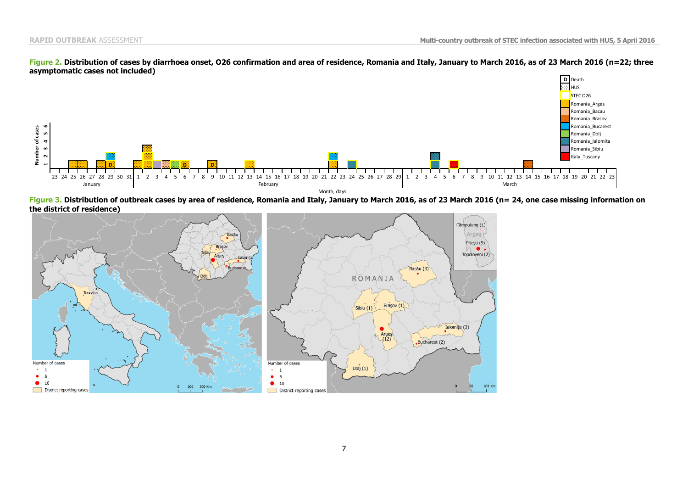

#### **Figure 2. Distribution of cases by diarrhoea onset, O26 confirmation and area of residence, Romania and Italy, January to March 2016, as of 23 March 2016 (n=22; three asymptomatic cases not included)**

**Figure 3. Distribution of outbreak cases by area of residence, Romania and Italy, January to March 2016, as of 23 March 2016 (n= 24, one case missing information on the district of residence)**

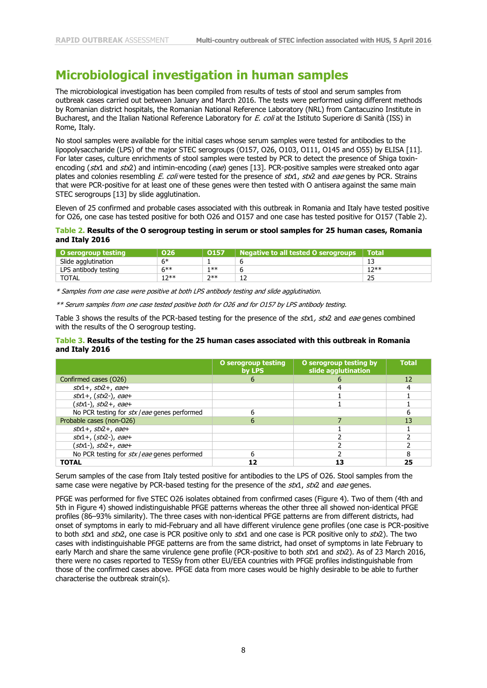## **Microbiological investigation in human samples**

The microbiological investigation has been compiled from results of tests of stool and serum samples from outbreak cases carried out between January and March 2016. The tests were performed using different methods by Romanian district hospitals, the Romanian National Reference Laboratory (NRL) from Cantacuzino Institute in Bucharest, and the Italian National Reference Laboratory for E. coli at the Istituto Superiore di Sanità (ISS) in Rome, Italy.

No stool samples were available for the initial cases whose serum samples were tested for antibodies to the lipopolysaccharide (LPS) of the major STEC serogroups (O157, O26, O103, O111, O145 and O55) by ELISA [11]. For later cases, culture enrichments of stool samples were tested by PCR to detect the presence of Shiga toxinencoding (stx1 and stx2) and intimin-encoding (eae) genes [13]. PCR-positive samples were streaked onto agar plates and colonies resembling E. coli were tested for the presence of  $stx1$ ,  $stx2$  and eae genes by PCR. Strains that were PCR-positive for at least one of these genes were then tested with O antisera against the same main STEC serogroups [13] by slide agglutination.

Eleven of 25 confirmed and probable cases associated with this outbreak in Romania and Italy have tested positive for O26, one case has tested positive for both O26 and O157 and one case has tested positive for O157 (Table 2).

### **Table 2. Results of the O serogroup testing in serum or stool samples for 25 human cases, Romania and Italy 2016**

| O serogroup testing  | O <sub>26</sub> | 0157    | <b>Negative to all tested O serogroups</b> | \ Total\ |
|----------------------|-----------------|---------|--------------------------------------------|----------|
| Slide agglutination  | $6*$            |         |                                            | 13       |
| LPS antibody testing | $6***$          | $1 * *$ |                                            | $12**$   |
| <b>TOTAL</b>         | 1つ**            | $7**$   | ᅩ                                          | 25       |

\* Samples from one case were positive at both LPS antibody testing and slide agglutination.

\*\* Serum samples from one case tested positive both for O26 and for O157 by LPS antibody testing.

Table 3 shows the results of the PCR-based testing for the presence of the stx1, stx2 and eae genes combined with the results of the O serogroup testing.

## **Table 3. Results of the testing for the 25 human cases associated with this outbreak in Romania and Italy 2016**

|                                              | O serogroup testing<br>by LPS | O serogroup testing by<br>slide agglutination | <b>Total</b> |
|----------------------------------------------|-------------------------------|-----------------------------------------------|--------------|
| Confirmed cases (O26)                        |                               |                                               | 12           |
| $stx1+, stx2+, cae+$                         |                               |                                               |              |
| $stx1+$ , ( $stx2-$ ), eae+                  |                               |                                               |              |
| ( <i>stx</i> 1-), <i>stx</i> 2+, eae+        |                               |                                               |              |
| No PCR testing for stx / eae genes performed |                               |                                               |              |
| Probable cases (non-O26)                     |                               |                                               | 13           |
| $stx1+$ , $stx2+$ , eae+                     |                               |                                               |              |
| $stx1+, (stx2-), eae+$                       |                               |                                               |              |
| ( <i>stx</i> 1-), <i>stx</i> 2+, eae+        |                               |                                               |              |
| No PCR testing for stx / eae genes performed |                               |                                               |              |
| <b>TOTAL</b>                                 |                               | 13                                            | 25           |

Serum samples of the case from Italy tested positive for antibodies to the LPS of O26. Stool samples from the same case were negative by PCR-based testing for the presence of the stx1, stx2 and eae genes.

PFGE was performed for five STEC O26 isolates obtained from confirmed cases (Figure 4). Two of them (4th and 5th in Figure 4) showed indistinguishable PFGE patterns whereas the other three all showed non-identical PFGE profiles (86–93% similarity). The three cases with non-identical PFGE patterns are from different districts, had onset of symptoms in early to mid-February and all have different virulence gene profiles (one case is PCR-positive to both stx1 and stx2, one case is PCR positive only to  $stx1$  and one case is PCR positive only to  $stx2$ ). The two cases with indistinguishable PFGE patterns are from the same district, had onset of symptoms in late February to early March and share the same virulence gene profile (PCR-positive to both stx1 and stx2). As of 23 March 2016, there were no cases reported to TESSy from other EU/EEA countries with PFGE profiles indistinguishable from those of the confirmed cases above. PFGE data from more cases would be highly desirable to be able to further characterise the outbreak strain(s).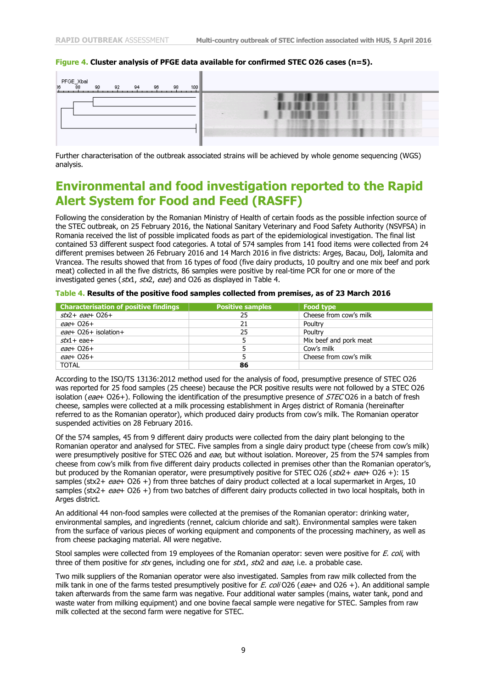## **Figure 4. Cluster analysis of PFGE data available for confirmed STEC O26 cases (n=5).**



Further characterisation of the outbreak associated strains will be achieved by whole genome sequencing (WGS) analysis.

## **Environmental and food investigation reported to the Rapid Alert System for Food and Feed (RASFF)**

Following the consideration by the Romanian Ministry of Health of certain foods as the possible infection source of the STEC outbreak, on 25 February 2016, the National Sanitary Veterinary and Food Safety Authority (NSVFSA) in Romania received the list of possible implicated foods as part of the epidemiological investigation. The final list contained 53 different suspect food categories. A total of 574 samples from 141 food items were collected from 24 different premises between 26 February 2016 and 14 March 2016 in five districts: Argeș, Bacau, Dolj, Ialomita and Vrancea. The results showed that from 16 types of food (five dairy products, 10 poultry and one mix beef and pork meat) collected in all the five districts, 86 samples were positive by real-time PCR for one or more of the investigated genes ( $stx1$ ,  $stx2$ , eae) and O26 as displayed in Table 4.

| <b>Characterisation of positive findings</b> | <b>Positive samples</b> | <b>Food type</b>       |
|----------------------------------------------|-------------------------|------------------------|
| $stx2 + eae + 026 +$                         | 25                      | Cheese from cow's milk |
| eae+ 026+                                    | 21                      | Poultry                |
| $ea$ e+ O26+ isolation+                      | 25                      | Poultry                |
| $stx1 + eae +$                               |                         | Mix beef and pork meat |
| $eae+026+$                                   |                         | Cow's milk             |
| eae+ 026+                                    |                         | Cheese from cow's milk |
| <b>TOTAL</b>                                 | 86                      |                        |

|  |  |  | Table 4. Results of the positive food samples collected from premises, as of 23 March 2016 |
|--|--|--|--------------------------------------------------------------------------------------------|
|--|--|--|--------------------------------------------------------------------------------------------|

According to the ISO/TS 13136:2012 method used for the analysis of food, presumptive presence of STEC O26 was reported for 25 food samples (25 cheese) because the PCR positive results were not followed by a STEC O26 isolation (eae+ O26+). Following the identification of the presumptive presence of STEC O26 in a batch of fresh cheese, samples were collected at a milk processing establishment in Argeș district of Romania (hereinafter referred to as the Romanian operator), which produced dairy products from cow's milk. The Romanian operator suspended activities on 28 February 2016.

Of the 574 samples, 45 from 9 different dairy products were collected from the dairy plant belonging to the Romanian operator and analysed for STEC. Five samples from a single dairy product type (cheese from cow's milk) were presumptively positive for STEC O26 and eae, but without isolation. Moreover, 25 from the 574 samples from cheese from cow's milk from five different dairy products collected in premises other than the Romanian operator's, but produced by the Romanian operator, were presumptively positive for STEC O26 ( $\frac{str}{2}$  eae+ O26 +): 15 samples (stx2+  $ea$ e+ O26 +) from three batches of dairy product collected at a local supermarket in Arges, 10 samples (stx2+ eae+ O26 +) from two batches of different dairy products collected in two local hospitals, both in Arges district.

An additional 44 non-food samples were collected at the premises of the Romanian operator: drinking water, environmental samples, and ingredients (rennet, calcium chloride and salt). Environmental samples were taken from the surface of various pieces of working equipment and components of the processing machinery, as well as from cheese packaging material. All were negative.

Stool samples were collected from 19 employees of the Romanian operator: seven were positive for E. coli, with three of them positive for stx genes, including one for  $stx1$ ,  $stx2$  and eae, i.e. a probable case.

Two milk suppliers of the Romanian operator were also investigated. Samples from raw milk collected from the milk tank in one of the farms tested presumptively positive for E. coli O26 (eae+ and O26 +). An additional sample taken afterwards from the same farm was negative. Four additional water samples (mains, water tank, pond and waste water from milking equipment) and one bovine faecal sample were negative for STEC. Samples from raw milk collected at the second farm were negative for STEC.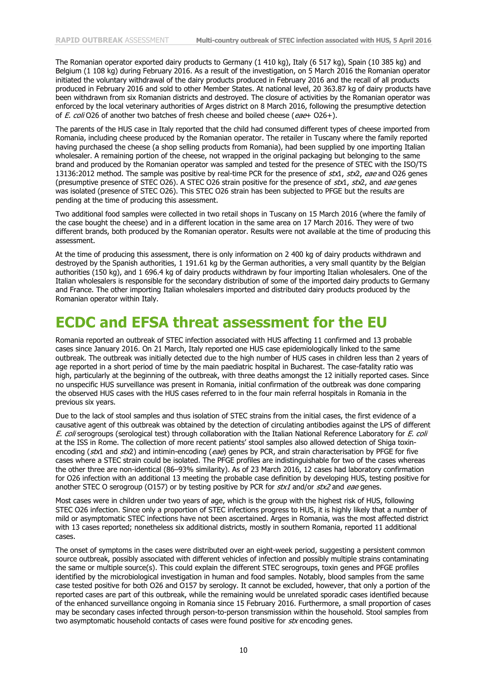The Romanian operator exported dairy products to Germany (1 410 kg), Italy (6 517 kg), Spain (10 385 kg) and Belgium (1 108 kg) during February 2016. As a result of the investigation, on 5 March 2016 the Romanian operator initiated the voluntary withdrawal of the dairy products produced in February 2016 and the recall of all products produced in February 2016 and sold to other Member States. At national level, 20 363.87 kg of dairy products have been withdrawn from six Romanian districts and destroyed. The closure of activities by the Romanian operator was enforced by the local veterinary authorities of Arges district on 8 March 2016, following the presumptive detection of E. coli O26 of another two batches of fresh cheese and boiled cheese (eae+ O26+).

The parents of the HUS case in Italy reported that the child had consumed different types of cheese imported from Romania, including cheese produced by the Romanian operator. The retailer in Tuscany where the family reported having purchased the cheese (a shop selling products from Romania), had been supplied by one importing Italian wholesaler. A remaining portion of the cheese, not wrapped in the original packaging but belonging to the same brand and produced by the Romanian operator was sampled and tested for the presence of STEC with the ISO/TS 13136:2012 method. The sample was positive by real-time PCR for the presence of stx1, stx2, eae and O26 genes (presumptive presence of STEC O26). A STEC O26 strain positive for the presence of  $stx1$ ,  $stx2$ , and eae genes was isolated (presence of STEC O26). This STEC O26 strain has been subjected to PFGE but the results are pending at the time of producing this assessment.

Two additional food samples were collected in two retail shops in Tuscany on 15 March 2016 (where the family of the case bought the cheese) and in a different location in the same area on 17 March 2016. They were of two different brands, both produced by the Romanian operator. Results were not available at the time of producing this assessment.

At the time of producing this assessment, there is only information on 2 400 kg of dairy products withdrawn and destroyed by the Spanish authorities, 1 191.61 kg by the German authorities, a very small quantity by the Belgian authorities (150 kg), and 1 696.4 kg of dairy products withdrawn by four importing Italian wholesalers. One of the Italian wholesalers is responsible for the secondary distribution of some of the imported dairy products to Germany and France. The other importing Italian wholesalers imported and distributed dairy products produced by the Romanian operator within Italy.

## **ECDC and EFSA threat assessment for the EU**

Romania reported an outbreak of STEC infection associated with HUS affecting 11 confirmed and 13 probable cases since January 2016. On 21 March, Italy reported one HUS case epidemiologically linked to the same outbreak. The outbreak was initially detected due to the high number of HUS cases in children less than 2 years of age reported in a short period of time by the main paediatric hospital in Bucharest. The case-fatality ratio was high, particularly at the beginning of the outbreak, with three deaths amongst the 12 initially reported cases. Since no unspecific HUS surveillance was present in Romania, initial confirmation of the outbreak was done comparing the observed HUS cases with the HUS cases referred to in the four main referral hospitals in Romania in the previous six years.

Due to the lack of stool samples and thus isolation of STEC strains from the initial cases, the first evidence of a causative agent of this outbreak was obtained by the detection of circulating antibodies against the LPS of different E. coli serogroups (serological test) through collaboration with the Italian National Reference Laboratory for E. coli at the ISS in Rome. The collection of more recent patients' stool samples also allowed detection of Shiga toxinencoding (stx1 and stx2) and intimin-encoding (eae) genes by PCR, and strain characterisation by PFGE for five cases where a STEC strain could be isolated. The PFGE profiles are indistinguishable for two of the cases whereas the other three are non-identical (86–93% similarity). As of 23 March 2016, 12 cases had laboratory confirmation for O26 infection with an additional 13 meeting the probable case definition by developing HUS, testing positive for another STEC O serogroup (O157) or by testing positive by PCR for  $stx1$  and/or  $stx2$  and eae genes.

Most cases were in children under two years of age, which is the group with the highest risk of HUS, following STEC O26 infection. Since only a proportion of STEC infections progress to HUS, it is highly likely that a number of mild or asymptomatic STEC infections have not been ascertained. Arges in Romania, was the most affected district with 13 cases reported; nonetheless six additional districts, mostly in southern Romania, reported 11 additional cases.

The onset of symptoms in the cases were distributed over an eight-week period, suggesting a persistent common source outbreak, possibly associated with different vehicles of infection and possibly multiple strains contaminating the same or multiple source(s). This could explain the different STEC serogroups, toxin genes and PFGE profiles identified by the microbiological investigation in human and food samples. Notably, blood samples from the same case tested positive for both O26 and O157 by serology. It cannot be excluded, however, that only a portion of the reported cases are part of this outbreak, while the remaining would be unrelated sporadic cases identified because of the enhanced surveillance ongoing in Romania since 15 February 2016. Furthermore, a small proportion of cases may be secondary cases infected through person-to-person transmission within the household. Stool samples from two asymptomatic household contacts of cases were found positive for stx encoding genes.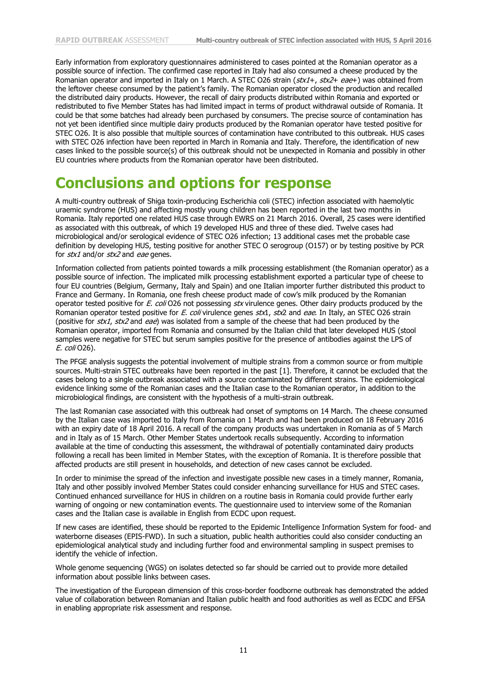Early information from exploratory questionnaires administered to cases pointed at the Romanian operator as a possible source of infection. The confirmed case reported in Italy had also consumed a cheese produced by the Romanian operator and imported in Italy on 1 March. A STEC 026 strain (stx1+, stx2+ eae+) was obtained from the leftover cheese consumed by the patient's family. The Romanian operator closed the production and recalled the distributed dairy products. However, the recall of dairy products distributed within Romania and exported or redistributed to five Member States has had limited impact in terms of product withdrawal outside of Romania. It could be that some batches had already been purchased by consumers. The precise source of contamination has not yet been identified since multiple dairy products produced by the Romanian operator have tested positive for STEC O26. It is also possible that multiple sources of contamination have contributed to this outbreak. HUS cases with STEC O26 infection have been reported in March in Romania and Italy. Therefore, the identification of new cases linked to the possible source(s) of this outbreak should not be unexpected in Romania and possibly in other EU countries where products from the Romanian operator have been distributed.

# **Conclusions and options for response**

A multi-country outbreak of Shiga toxin-producing Escherichia coli (STEC) infection associated with haemolytic uraemic syndrome (HUS) and affecting mostly young children has been reported in the last two months in Romania. Italy reported one related HUS case through EWRS on 21 March 2016. Overall, 25 cases were identified as associated with this outbreak, of which 19 developed HUS and three of these died. Twelve cases had microbiological and/or serological evidence of STEC O26 infection; 13 additional cases met the probable case definition by developing HUS, testing positive for another STEC O serogroup (O157) or by testing positive by PCR for  $stx1$  and/or  $stx2$  and eae genes.

Information collected from patients pointed towards a milk processing establishment (the Romanian operator) as a possible source of infection. The implicated milk processing establishment exported a particular type of cheese to four EU countries (Belgium, Germany, Italy and Spain) and one Italian importer further distributed this product to France and Germany. In Romania, one fresh cheese product made of cow's milk produced by the Romanian operator tested positive for E. coli O26 not possessing stx virulence genes. Other dairy products produced by the Romanian operator tested positive for E. coli virulence genes stx1, stx2 and eae. In Italy, an STEC O26 strain (positive for stx1, stx2 and eae) was isolated from a sample of the cheese that had been produced by the Romanian operator, imported from Romania and consumed by the Italian child that later developed HUS (stool samples were negative for STEC but serum samples positive for the presence of antibodies against the LPS of E. coli O26).

The PFGE analysis suggests the potential involvement of multiple strains from a common source or from multiple sources. Multi-strain STEC outbreaks have been reported in the past [1]. Therefore, it cannot be excluded that the cases belong to a single outbreak associated with a source contaminated by different strains. The epidemiological evidence linking some of the Romanian cases and the Italian case to the Romanian operator, in addition to the microbiological findings, are consistent with the hypothesis of a multi-strain outbreak.

The last Romanian case associated with this outbreak had onset of symptoms on 14 March. The cheese consumed by the Italian case was imported to Italy from Romania on 1 March and had been produced on 18 February 2016 with an expiry date of 18 April 2016. A recall of the company products was undertaken in Romania as of 5 March and in Italy as of 15 March. Other Member States undertook recalls subsequently. According to information available at the time of conducting this assessment, the withdrawal of potentially contaminated dairy products following a recall has been limited in Member States, with the exception of Romania. It is therefore possible that affected products are still present in households, and detection of new cases cannot be excluded.

In order to minimise the spread of the infection and investigate possible new cases in a timely manner, Romania, Italy and other possibly involved Member States could consider enhancing surveillance for HUS and STEC cases. Continued enhanced surveillance for HUS in children on a routine basis in Romania could provide further early warning of ongoing or new contamination events. The questionnaire used to interview some of the Romanian cases and the Italian case is available in English from ECDC upon request.

If new cases are identified, these should be reported to the Epidemic Intelligence Information System for food- and waterborne diseases (EPIS-FWD). In such a situation, public health authorities could also consider conducting an epidemiological analytical study and including further food and environmental sampling in suspect premises to identify the vehicle of infection.

Whole genome sequencing (WGS) on isolates detected so far should be carried out to provide more detailed information about possible links between cases.

The investigation of the European dimension of this cross-border foodborne outbreak has demonstrated the added value of collaboration between Romanian and Italian public health and food authorities as well as ECDC and EFSA in enabling appropriate risk assessment and response.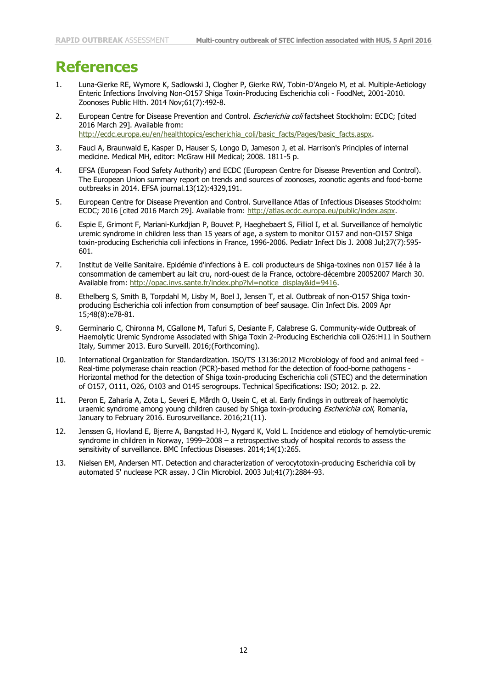# **References**

- 1. Luna-Gierke RE, Wymore K, Sadlowski J, Clogher P, Gierke RW, Tobin-D'Angelo M, et al. Multiple-Aetiology Enteric Infections Involving Non-O157 Shiga Toxin-Producing Escherichia coli - FoodNet, 2001-2010. Zoonoses Public Hlth. 2014 Nov;61(7):492-8.
- 2. European Centre for Disease Prevention and Control. Escherichia coli factsheet Stockholm: ECDC; [cited 2016 March 29]. Available from: [http://ecdc.europa.eu/en/healthtopics/escherichia\\_coli/basic\\_facts/Pages/basic\\_facts.aspx.](http://ecdc.europa.eu/en/healthtopics/escherichia_coli/basic_facts/Pages/basic_facts.aspx)
- 3. Fauci A, Braunwald E, Kasper D, Hauser S, Longo D, Jameson J, et al. Harrison's Principles of internal medicine. Medical MH, editor: McGraw Hill Medical; 2008. 1811-5 p.
- 4. EFSA (European Food Safety Authority) and ECDC (European Centre for Disease Prevention and Control). The European Union summary report on trends and sources of zoonoses, zoonotic agents and food-borne outbreaks in 2014. EFSA journal.13(12):4329,191.
- 5. European Centre for Disease Prevention and Control. Surveillance Atlas of Infectious Diseases Stockholm: ECDC; 2016 [cited 2016 March 29]. Available from: [http://atlas.ecdc.europa.eu/public/index.aspx.](http://atlas.ecdc.europa.eu/public/index.aspx)
- 6. Espie E, Grimont F, Mariani-Kurkdjian P, Bouvet P, Haeghebaert S, Filliol I, et al. Surveillance of hemolytic uremic syndrome in children less than 15 years of age, a system to monitor O157 and non-O157 Shiga toxin-producing Escherichia coli infections in France, 1996-2006. Pediatr Infect Dis J. 2008 Jul;27(7):595- 601.
- 7. Institut de Veille Sanitaire. Epidémie d'infections à E. coli producteurs de Shiga-toxines non 0157 liée à la consommation de camembert au lait cru, nord-ouest de la France, octobre-décembre 20052007 March 30. Available from: http://opac.invs.sante.fr/index.php?lyl=notice\_display&id=9416.
- 8. Ethelberg S, Smith B, Torpdahl M, Lisby M, Boel J, Jensen T, et al. Outbreak of non-O157 Shiga toxinproducing Escherichia coli infection from consumption of beef sausage. Clin Infect Dis. 2009 Apr 15;48(8):e78-81.
- 9. Germinario C, Chironna M, CGallone M, Tafuri S, Desiante F, Calabrese G. Community-wide Outbreak of Haemolytic Uremic Syndrome Associated with Shiga Toxin 2-Producing Escherichia coli O26:H11 in Southern Italy, Summer 2013. Euro Surveill. 2016;(Forthcoming).
- 10. International Organization for Standardization. ISO/TS 13136:2012 Microbiology of food and animal feed Real-time polymerase chain reaction (PCR)-based method for the detection of food-borne pathogens - Horizontal method for the detection of Shiga toxin-producing Escherichia coli (STEC) and the determination of O157, O111, O26, O103 and O145 serogroups. Technical Specifications: ISO; 2012. p. 22.
- 11. Peron E, Zaharia A, Zota L, Severi E, Mårdh O, Usein C, et al. Early findings in outbreak of haemolytic uraemic syndrome among young children caused by Shiga toxin-producing Escherichia coli, Romania, January to February 2016. Eurosurveillance. 2016;21(11).
- 12. Jenssen G, Hovland E, Bjerre A, Bangstad H-J, Nygard K, Vold L. Incidence and etiology of hemolytic-uremic syndrome in children in Norway, 1999–2008 – a retrospective study of hospital records to assess the sensitivity of surveillance. BMC Infectious Diseases. 2014;14(1):265.
- 13. Nielsen EM, Andersen MT. Detection and characterization of verocytotoxin-producing Escherichia coli by automated 5' nuclease PCR assay. J Clin Microbiol. 2003 Jul;41(7):2884-93.